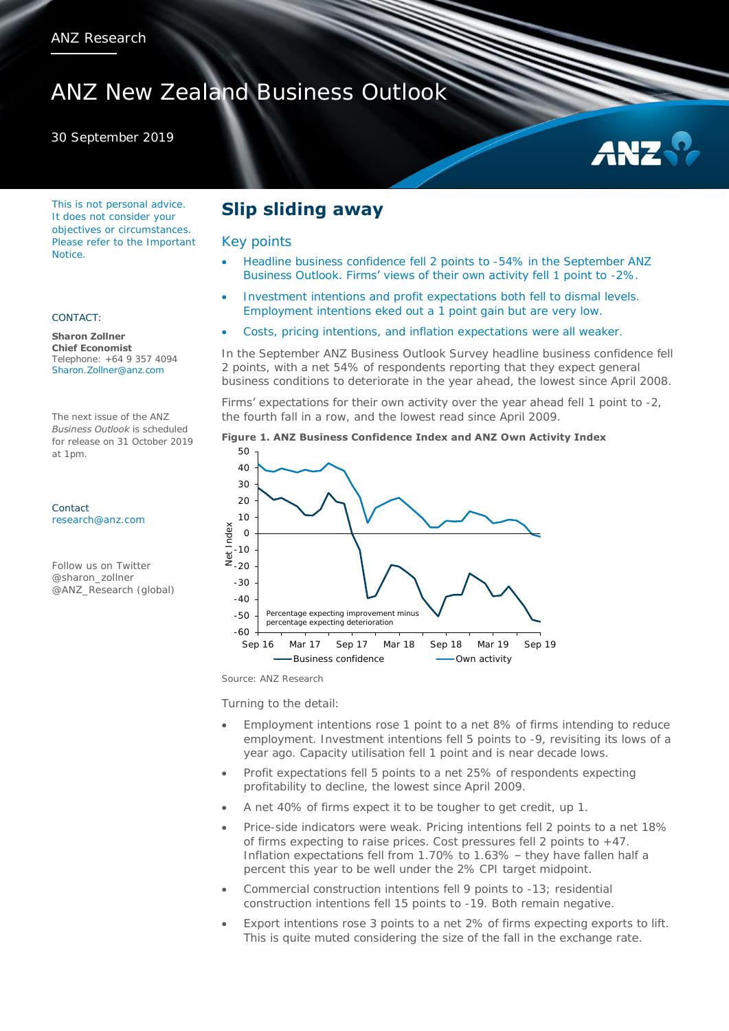# ANZ New Zealand Business Outlook

30 September 2019

# AN<sub>2</sub>

This is not personal advice. It does not consider your objectives or circumstances. Please refer to the Important **Notice** 

### CONTACT:

**Sharon Zollner Chief Economist**  Telephone: +64 9 357 4094 Sharon.Zollner@anz.com

The next issue of the ANZ *Business Outlook* is scheduled for release on 31 October 2019 at 1pm.

Contact [research@anz.com](mailto:research@anz.com)

Follow us on Twitter @sharon\_zollner @ANZ\_Research (global)

# **Slip sliding away**

## Key points

- Headline business confidence fell 2 points to -54% in the September ANZ Business Outlook. Firms' views of their own activity fell 1 point to -2%.
- Investment intentions and profit expectations both fell to dismal levels. Employment intentions eked out a 1 point gain but are very low.
	- Costs, pricing intentions, and inflation expectations were all weaker.

In the September ANZ Business Outlook Survey headline business confidence fell 2 points, with a net 54% of respondents reporting that they expect general business conditions to deteriorate in the year ahead, the lowest since April 2008.

Firms' expectations for their own activity over the year ahead fell 1 point to -2, the fourth fall in a row, and the lowest read since April 2009.





Source: ANZ Research

Turning to the detail:

- Employment intentions rose 1 point to a net 8% of firms intending to reduce employment. Investment intentions fell 5 points to -9, revisiting its lows of a year ago. Capacity utilisation fell 1 point and is near decade lows.
- Profit expectations fell 5 points to a net 25% of respondents expecting profitability to decline, the lowest since April 2009.
- A net 40% of firms expect it to be tougher to get credit, up 1.
- Price-side indicators were weak. Pricing intentions fell 2 points to a net 18% of firms expecting to raise prices. Cost pressures fell 2 points to +47. Inflation expectations fell from 1.70% to 1.63% – they have fallen half a percent this year to be well under the 2% CPI target midpoint.
- Commercial construction intentions fell 9 points to -13; residential construction intentions fell 15 points to -19. Both remain negative.
- Export intentions rose 3 points to a net 2% of firms expecting exports to lift. This is quite muted considering the size of the fall in the exchange rate.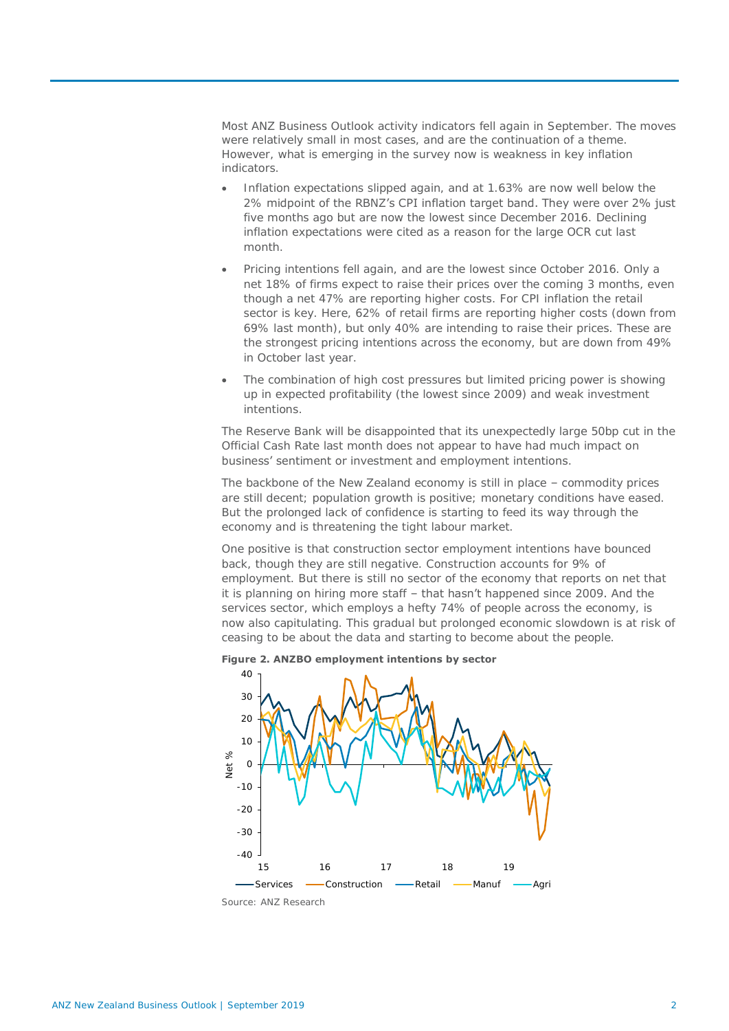Most ANZ Business Outlook activity indicators fell again in September. The moves were relatively small in most cases, and are the continuation of a theme. However, what is emerging in the survey now is weakness in key inflation indicators.

- Inflation expectations slipped again, and at 1.63% are now well below the 2% midpoint of the RBNZ's CPI inflation target band. They were over 2% just five months ago but are now the lowest since December 2016. Declining inflation expectations were cited as a reason for the large OCR cut last month.
- Pricing intentions fell again, and are the lowest since October 2016. Only a net 18% of firms expect to raise their prices over the coming 3 months, even though a net 47% are reporting higher costs. For CPI inflation the retail sector is key. Here, 62% of retail firms are reporting higher costs (down from 69% last month), but only 40% are intending to raise their prices. These are the strongest pricing intentions across the economy, but are down from 49% in October last year.
- The combination of high cost pressures but limited pricing power is showing up in expected profitability (the lowest since 2009) and weak investment intentions.

The Reserve Bank will be disappointed that its unexpectedly large 50bp cut in the Official Cash Rate last month does not appear to have had much impact on business' sentiment or investment and employment intentions.

The backbone of the New Zealand economy is still in place – commodity prices are still decent; population growth is positive; monetary conditions have eased. But the prolonged lack of confidence is starting to feed its way through the economy and is threatening the tight labour market.

One positive is that construction sector employment intentions have bounced back, though they are still negative. Construction accounts for 9% of employment. But there is still no sector of the economy that reports on net that it is planning on hiring more staff – that hasn't happened since 2009. And the services sector, which employs a hefty 74% of people across the economy, is now also capitulating. This gradual but prolonged economic slowdown is at risk of ceasing to be about the data and starting to become about the people.



**Figure 2. ANZBO employment intentions by sector**

Source: ANZ Research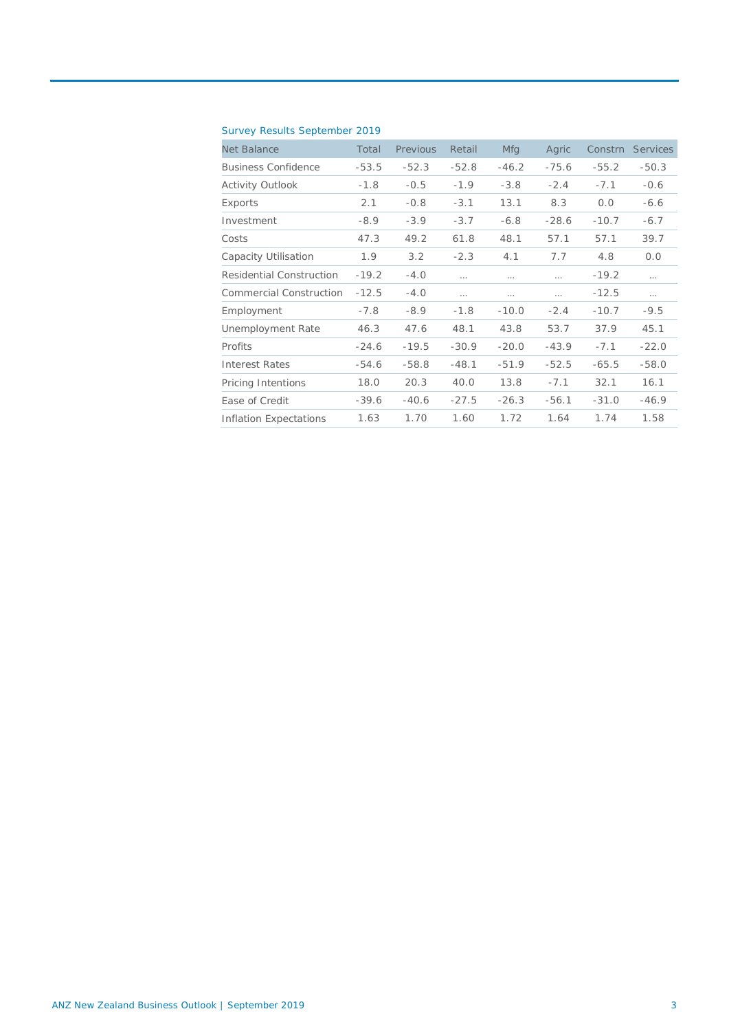|  |  | Survey Results September 2019 |  |
|--|--|-------------------------------|--|
|--|--|-------------------------------|--|

| <b>Net Balance</b>         | Total   | Previous | Retail   | <b>Mfg</b> | Agric    | Constrn | <b>Services</b> |
|----------------------------|---------|----------|----------|------------|----------|---------|-----------------|
| <b>Business Confidence</b> | $-53.5$ | $-52.3$  | $-52.8$  | $-46.2$    | $-75.6$  | $-55.2$ | $-50.3$         |
| Activity Outlook           | $-1.8$  | $-0.5$   | $-1.9$   | $-3.8$     | $-2.4$   | $-7.1$  | $-0.6$          |
| Exports                    | 2.1     | $-0.8$   | $-3.1$   | 13.1       | 8.3      | 0.0     | $-6.6$          |
| Investment                 | $-8.9$  | $-3.9$   | $-3.7$   | $-6.8$     | $-28.6$  | $-10.7$ | $-6.7$          |
| Costs                      | 47.3    | 49.2     | 61.8     | 48.1       | 57.1     | 57.1    | 39.7            |
| Capacity Utilisation       | 1.9     | 3.2      | $-2.3$   | 4.1        | 7.7      | 4.8     | 0.0             |
| Residential Construction   | $-19.2$ | $-4.0$   | $\cdots$ | .          | $\cdots$ | $-19.2$ | $\cdots$        |
| Commercial Construction    | $-12.5$ | $-4.0$   | $\cdots$ | $\cdots$   | .        | $-12.5$ |                 |
| Employment                 | $-7.8$  | $-8.9$   | $-1.8$   | $-10.0$    | $-2.4$   | $-10.7$ | $-9.5$          |
| Unemployment Rate          | 46.3    | 47.6     | 48.1     | 43.8       | 53.7     | 37.9    | 45.1            |
| Profits                    | $-24.6$ | $-19.5$  | $-30.9$  | $-20.0$    | $-43.9$  | $-7.1$  | $-22.0$         |
| Interest Rates             | $-54.6$ | $-58.8$  | $-48.1$  | $-51.9$    | $-52.5$  | $-65.5$ | $-58.0$         |
| Pricing Intentions         | 18.0    | 20.3     | 40.0     | 13.8       | $-7.1$   | 32.1    | 16.1            |
| Ease of Credit             | $-39.6$ | $-40.6$  | $-27.5$  | $-26.3$    | $-56.1$  | $-31.0$ | $-46.9$         |
| Inflation Expectations     | 1.63    | 1.70     | 1.60     | 1.72       | 1.64     | 1.74    | 1.58            |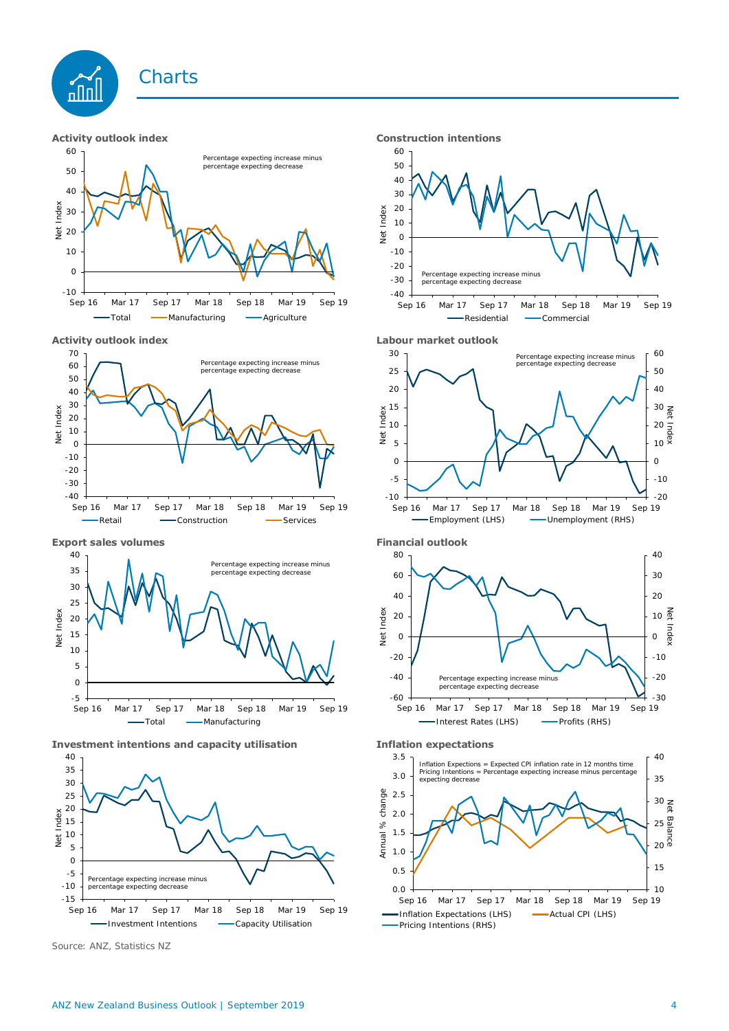





Total - Manufacturing - Agriculture









Source: ANZ, Statistics NZ











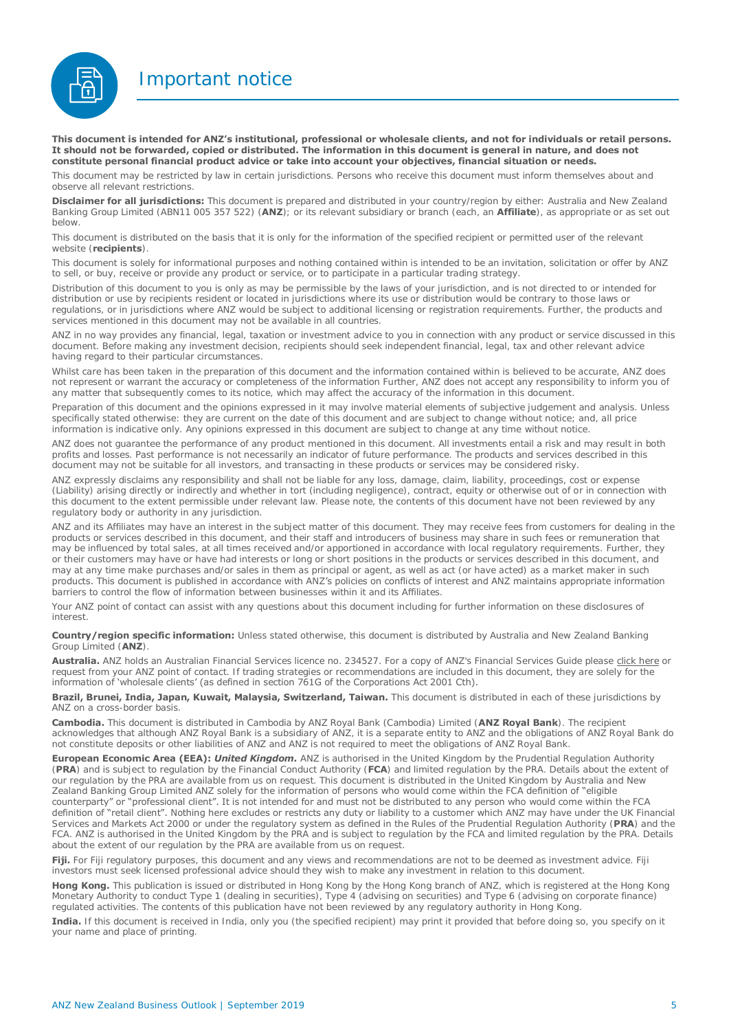Important notice



**This document is intended for ANZ's institutional, professional or wholesale clients, and not for individuals or retail persons. It should not be forwarded, copied or distributed. The information in this document is general in nature, and does not constitute personal financial product advice or take into account your objectives, financial situation or needs.** 

This document may be restricted by law in certain jurisdictions. Persons who receive this document must inform themselves about and observe all relevant restrictions.

**Disclaimer for all jurisdictions:** This document is prepared and distributed in your country/region by either: Australia and New Zealand Banking Group Limited (ABN11 005 357 522) (**ANZ**); or its relevant subsidiary or branch (each, an **Affiliate**), as appropriate or as set out below.

This document is distributed on the basis that it is only for the information of the specified recipient or permitted user of the relevant website (**recipients**).

This document is solely for informational purposes and nothing contained within is intended to be an invitation, solicitation or offer by ANZ to sell, or buy, receive or provide any product or service, or to participate in a particular trading strategy.

Distribution of this document to you is only as may be permissible by the laws of your jurisdiction, and is not directed to or intended for distribution or use by recipients resident or located in jurisdictions where its use or distribution would be contrary to those laws or regulations, or in jurisdictions where ANZ would be subject to additional licensing or registration requirements. Further, the products and services mentioned in this document may not be available in all countries.

ANZ in no way provides any financial, legal, taxation or investment advice to you in connection with any product or service discussed in this document. Before making any investment decision, recipients should seek independent financial, legal, tax and other relevant advice having regard to their particular circumstances.

Whilst care has been taken in the preparation of this document and the information contained within is believed to be accurate. ANZ does not represent or warrant the accuracy or completeness of the information Further, ANZ does not accept any responsibility to inform you of any matter that subsequently comes to its notice, which may affect the accuracy of the information in this document.

Preparation of this document and the opinions expressed in it may involve material elements of subjective judgement and analysis. Unless specifically stated otherwise: they are current on the date of this document and are subject to change without notice; and, all price information is indicative only. Any opinions expressed in this document are subject to change at any time without notice.

ANZ does not guarantee the performance of any product mentioned in this document. All investments entail a risk and may result in both profits and losses. Past performance is not necessarily an indicator of future performance. The products and services described in this document may not be suitable for all investors, and transacting in these products or services may be considered risky.

ANZ expressly disclaims any responsibility and shall not be liable for any loss, damage, claim, liability, proceedings, cost or expense (Liability) arising directly or indirectly and whether in tort (including negligence), contract, equity or otherwise out of or in connection with this document to the extent permissible under relevant law. Please note, the contents of this document have not been reviewed by any regulatory body or authority in any jurisdiction.

ANZ and its Affiliates may have an interest in the subject matter of this document. They may receive fees from customers for dealing in the products or services described in this document, and their staff and introducers of business may share in such fees or remuneration that may be influenced by total sales, at all times received and/or apportioned in accordance with local regulatory requirements. Further, they or their customers may have or have had interests or long or short positions in the products or services described in this document, and may at any time make purchases and/or sales in them as principal or agent, as well as act (or have acted) as a market maker in such products. This document is published in accordance with ANZ's policies on conflicts of interest and ANZ maintains appropriate information barriers to control the flow of information between businesses within it and its Affiliates.

Your ANZ point of contact can assist with any questions about this document including for further information on these disclosures of interest.

**Country/region specific information:** Unless stated otherwise, this document is distributed by Australia and New Zealand Banking Group Limited (**ANZ**).

**Australia.** ANZ holds an Australian Financial Services licence no. 234527. For a copy of ANZ's Financial Services Guide please [click here o](http://www.anz.com/documents/AU/aboutANZ/FinancialServicesGuide.pdf)r request from your ANZ point of contact. If trading strategies or recommendations are included in this document, they are solely for the information of 'wholesale clients' (as defined in section 761G of the Corporations Act 2001 Cth).

**Brazil, Brunei, India, Japan, Kuwait, Malaysia, Switzerland, Taiwan.** This document is distributed in each of these jurisdictions by ANZ on a cross-border basis.

**Cambodia.** This document is distributed in Cambodia by ANZ Royal Bank (Cambodia) Limited (**ANZ Royal Bank**). The recipient acknowledges that although ANZ Royal Bank is a subsidiary of ANZ, it is a separate entity to ANZ and the obligations of ANZ Royal Bank do not constitute deposits or other liabilities of ANZ and ANZ is not required to meet the obligations of ANZ Royal Bank.

**European Economic Area (EEA):** *United Kingdom.* ANZ is authorised in the United Kingdom by the Prudential Regulation Authority (**PRA**) and is subject to regulation by the Financial Conduct Authority (**FCA**) and limited regulation by the PRA. Details about the extent of our regulation by the PRA are available from us on request. This document is distributed in the United Kingdom by Australia and New Zealand Banking Group Limited ANZ solely for the information of persons who would come within the FCA definition of "eligible counterparty" or "professional client". It is not intended for and must not be distributed to any person who would come within the FCA definition of "retail client". Nothing here excludes or restricts any duty or liability to a customer which ANZ may have under the UK Financial Services and Markets Act 2000 or under the regulatory system as defined in the Rules of the Prudential Regulation Authority (**PRA**) and the FCA. ANZ is authorised in the United Kingdom by the PRA and is subject to regulation by the FCA and limited regulation by the PRA. Details about the extent of our regulation by the PRA are available from us on request

**Fiji.** For Fiji regulatory purposes, this document and any views and recommendations are not to be deemed as investment advice. Fiji investors must seek licensed professional advice should they wish to make any investment in relation to this document.

**Hong Kong.** This publication is issued or distributed in Hong Kong by the Hong Kong branch of ANZ, which is registered at the Hong Kong Monetary Authority to conduct Type 1 (dealing in securities), Type 4 (advising on securities) and Type 6 (advising on corporate finance) regulated activities. The contents of this publication have not been reviewed by any regulatory authority in Hong Kong.

**India.** If this document is received in India, only you (the specified recipient) may print it provided that before doing so, you specify on it your name and place of printing.